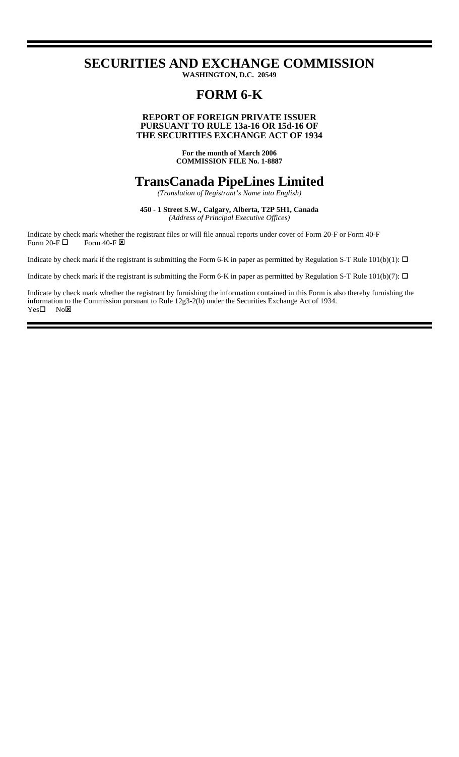# **SECURITIES AND EXCHANGE COMMISSION**

**WASHINGTON, D.C. 20549**

# **FORM 6-K**

### **PURSUANT TO RULE 13a-16 OR 15d-16 OF THE SECURITIES EXCHANGE ACT OF 1934 REPORT OF FOREIGN PRIVATE ISSUER**

**For the month of March 2006 COMMISSION FILE No. 1-8887**

# **TransCanada PipeLines Limited**

*(Translation of Registrant's Name into English)*

**450 - 1 Street S.W., Calgary, Alberta, T2P 5H1, Canada** *(Address of Principal Executive Offices)*

Indicate by check mark whether the registrant files or will file annual reports under cover of Form 20-F or Form 40-F Form 20-F  $\Box$  Form 40-F  $\boxtimes$ 

Indicate by check mark if the registrant is submitting the Form 6-K in paper as permitted by Regulation S-T Rule  $101(b)(1)$ :  $\Box$ 

Indicate by check mark if the registrant is submitting the Form 6-K in paper as permitted by Regulation S-T Rule  $101(b)(7)$ :  $\Box$ 

Indicate by check mark whether the registrant by furnishing the information contained in this Form is also thereby furnishing the information to the Commission pursuant to Rule 12g3-2(b) under the Securities Exchange Act of 1934.  $Yes \Box$  No $\boxtimes$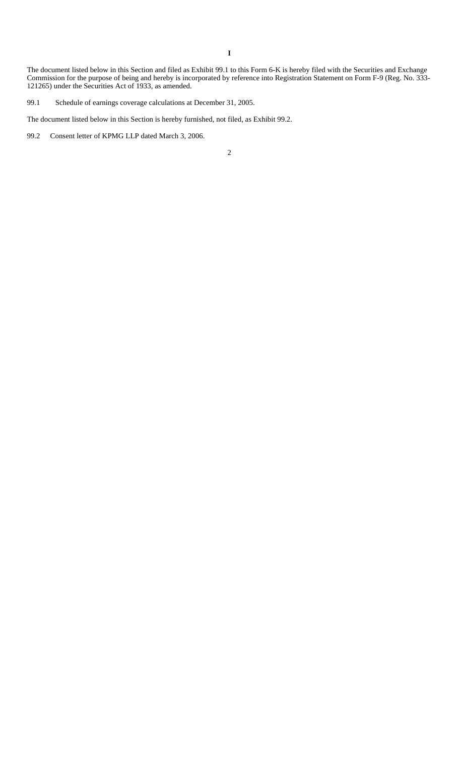**I**

The document listed below in this Section and filed as Exhibit 99.1 to this Form 6-K is hereby filed with the Securities and Exchange Commission for the purpose of being and hereby is incorporated by reference into Registration Statement on Form F-9 (Reg. No. 333- 121265) under the Securities Act of 1933, as amended.

99.1 Schedule of earnings coverage calculations at December 31, 2005.

The document listed below in this Section is hereby furnished, not filed, as Exhibit 99.2.

99.2 Consent letter of KPMG LLP dated March 3, 2006.

2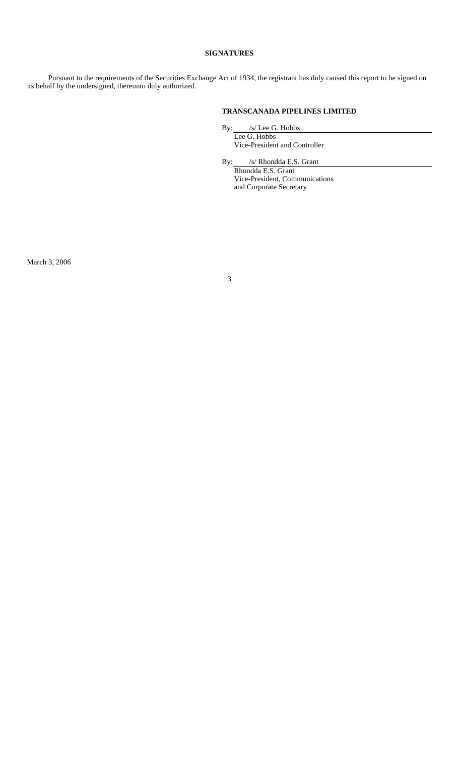#### **SIGNATURES**

Pursuant to the requirements of the Securities Exchange Act of 1934, the registrant has duly caused this report to be signed on its behalf by the undersigned, thereunto duly authorized.

### **TRANSCANADA PIPELINES LIMITED**

By: /s/ Lee G. Hobbs

Lee G. Hobbs Vice-President and Controller

By: /s/ Rhondda E.S. Grant

Rhondda E.S. Grant Vice-President, Communications and Corporate Secretary

March 3, 2006

3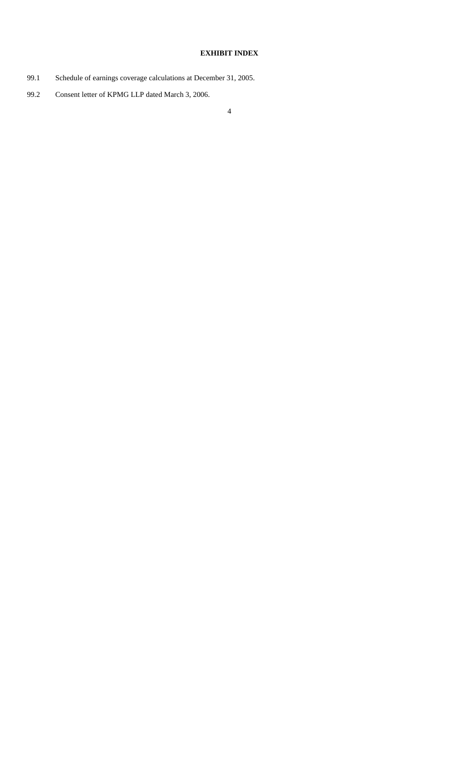## **EXHIBIT INDEX**

- 99.1 Schedule of earnings coverage calculations at December 31, 2005.
- 99.2 Consent letter of KPMG LLP dated March 3, 2006.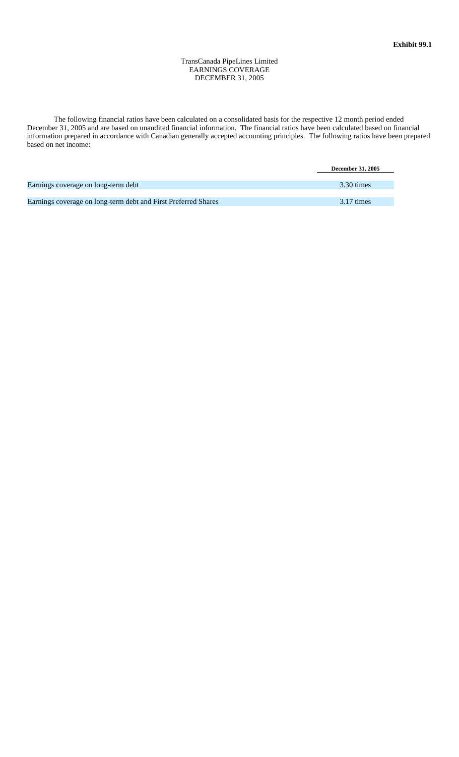TransCanada PipeLines Limited EARNINGS COVERAGE DECEMBER 31, 2005

The following financial ratios have been calculated on a consolidated basis for the respective 12 month period ended December 31, 2005 and are based on unaudited financial information. The financial ratios have been calculated based on financial information prepared in accordance with Canadian generally accepted accounting principles. The following ratios have been prepared based on net income:

|                                                                | <b>December 31, 2005</b> |
|----------------------------------------------------------------|--------------------------|
|                                                                |                          |
| Earnings coverage on long-term debt                            | 3.30 times               |
|                                                                |                          |
| Earnings coverage on long-term debt and First Preferred Shares | $3.17 \text{ times}$     |